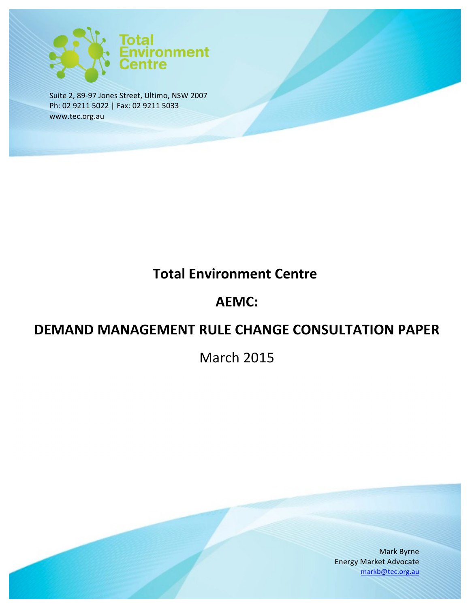

Suite 2, 89-97 Jones Street, Ultimo, NSW 2007 Ph: 02 9211 5022 | Fax: 02 9211 5033 www.tec.org.au

# **Total Environment Centre**

## **AEMC:**

## **DEMAND MANAGEMENT RULE CHANGE CONSULTATION PAPER**

**March 2015** 

Mark Byrne Energy Market Advocate markb@tec.org.au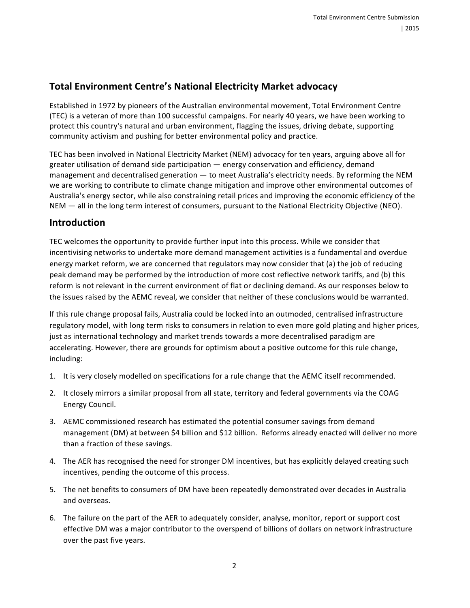## **Total Environment Centre's National Electricity Market advocacy**

Established in 1972 by pioneers of the Australian environmental movement, Total Environment Centre (TEC) is a veteran of more than 100 successful campaigns. For nearly 40 years, we have been working to protect this country's natural and urban environment, flagging the issues, driving debate, supporting community activism and pushing for better environmental policy and practice.

TEC has been involved in National Electricity Market (NEM) advocacy for ten years, arguing above all for greater utilisation of demand side participation — energy conservation and efficiency, demand management and decentralised generation  $-$  to meet Australia's electricity needs. By reforming the NEM we are working to contribute to climate change mitigation and improve other environmental outcomes of Australia's energy sector, while also constraining retail prices and improving the economic efficiency of the NEM — all in the long term interest of consumers, pursuant to the National Electricity Objective (NEO).

### **Introduction**

TEC welcomes the opportunity to provide further input into this process. While we consider that incentivising networks to undertake more demand management activities is a fundamental and overdue energy market reform, we are concerned that regulators may now consider that (a) the job of reducing peak demand may be performed by the introduction of more cost reflective network tariffs, and (b) this reform is not relevant in the current environment of flat or declining demand. As our responses below to the issues raised by the AEMC reveal, we consider that neither of these conclusions would be warranted.

If this rule change proposal fails, Australia could be locked into an outmoded, centralised infrastructure regulatory model, with long term risks to consumers in relation to even more gold plating and higher prices, just as international technology and market trends towards a more decentralised paradigm are accelerating. However, there are grounds for optimism about a positive outcome for this rule change, including:

- 1. It is very closely modelled on specifications for a rule change that the AEMC itself recommended.
- 2. It closely mirrors a similar proposal from all state, territory and federal governments via the COAG Energy Council.
- 3. AEMC commissioned research has estimated the potential consumer savings from demand management (DM) at between \$4 billion and \$12 billion. Reforms already enacted will deliver no more than a fraction of these savings.
- 4. The AER has recognised the need for stronger DM incentives, but has explicitly delayed creating such incentives, pending the outcome of this process.
- 5. The net benefits to consumers of DM have been repeatedly demonstrated over decades in Australia and overseas.
- 6. The failure on the part of the AER to adequately consider, analyse, monitor, report or support cost effective DM was a major contributor to the overspend of billions of dollars on network infrastructure over the past five years.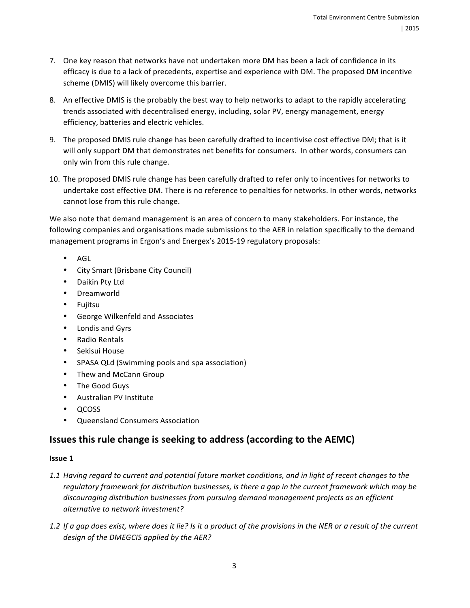- 7. One key reason that networks have not undertaken more DM has been a lack of confidence in its efficacy is due to a lack of precedents, expertise and experience with DM. The proposed DM incentive scheme (DMIS) will likely overcome this barrier.
- 8. An effective DMIS is the probably the best way to help networks to adapt to the rapidly accelerating trends associated with decentralised energy, including, solar PV, energy management, energy efficiency, batteries and electric vehicles.
- 9. The proposed DMIS rule change has been carefully drafted to incentivise cost effective DM; that is it will only support DM that demonstrates net benefits for consumers. In other words, consumers can only win from this rule change.
- 10. The proposed DMIS rule change has been carefully drafted to refer only to incentives for networks to undertake cost effective DM. There is no reference to penalties for networks. In other words, networks cannot lose from this rule change.

We also note that demand management is an area of concern to many stakeholders. For instance, the following companies and organisations made submissions to the AER in relation specifically to the demand management programs in Ergon's and Energex's 2015-19 regulatory proposals:

- AGL
- City Smart (Brisbane City Council)
- Daikin Pty Ltd
- Dreamworld
- Fujitsu
- George Wilkenfeld and Associates
- Londis and Gyrs
- Radio Rentals
- Sekisui House
- SPASA QLd (Swimming pools and spa association)
- Thew and McCann Group
- The Good Guys
- Australian PV Institute
- QCOSS
- Queensland Consumers Association

## **Issues this rule change is seeking to address (according to the AEMC)**

#### **Issue 1**

- 1.1 Having regard to current and potential future market conditions, and in light of recent changes to the regulatory framework for distribution businesses, is there a gap in the current framework which may be discouraging distribution businesses from pursuing demand management projects as an efficient *alternative to network investment?*
- *1.2* If a gap does exist, where does it lie? Is it a product of the provisions in the NER or a result of the current design of the DMEGCIS applied by the AER?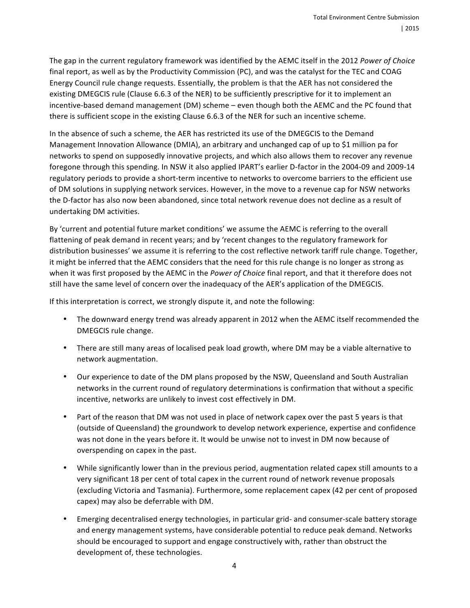The gap in the current regulatory framework was identified by the AEMC itself in the 2012 *Power of Choice* final report, as well as by the Productivity Commission (PC), and was the catalyst for the TEC and COAG Energy Council rule change requests. Essentially, the problem is that the AER has not considered the existing DMEGCIS rule (Clause 6.6.3 of the NER) to be sufficiently prescriptive for it to implement an incentive-based demand management (DM) scheme – even though both the AEMC and the PC found that there is sufficient scope in the existing Clause 6.6.3 of the NER for such an incentive scheme.

In the absence of such a scheme, the AER has restricted its use of the DMEGCIS to the Demand Management Innovation Allowance (DMIA), an arbitrary and unchanged cap of up to \$1 million pa for networks to spend on supposedly innovative projects, and which also allows them to recover any revenue foregone through this spending. In NSW it also applied IPART's earlier D-factor in the 2004-09 and 2009-14 regulatory periods to provide a short-term incentive to networks to overcome barriers to the efficient use of DM solutions in supplying network services. However, in the move to a revenue cap for NSW networks the D-factor has also now been abandoned, since total network revenue does not decline as a result of undertaking DM activities.

By 'current and potential future market conditions' we assume the AEMC is referring to the overall flattening of peak demand in recent years; and by 'recent changes to the regulatory framework for distribution businesses' we assume it is referring to the cost reflective network tariff rule change. Together, it might be inferred that the AEMC considers that the need for this rule change is no longer as strong as when it was first proposed by the AEMC in the *Power of Choice* final report, and that it therefore does not still have the same level of concern over the inadequacy of the AER's application of the DMEGCIS.

If this interpretation is correct, we strongly dispute it, and note the following:

- The downward energy trend was already apparent in 2012 when the AEMC itself recommended the DMEGCIS rule change.
- There are still many areas of localised peak load growth, where DM may be a viable alternative to network augmentation.
- Our experience to date of the DM plans proposed by the NSW, Queensland and South Australian networks in the current round of regulatory determinations is confirmation that without a specific incentive, networks are unlikely to invest cost effectively in DM.
- Part of the reason that DM was not used in place of network capex over the past 5 years is that (outside of Queensland) the groundwork to develop network experience, expertise and confidence was not done in the years before it. It would be unwise not to invest in DM now because of overspending on capex in the past.
- While significantly lower than in the previous period, augmentation related capex still amounts to a very significant 18 per cent of total capex in the current round of network revenue proposals (excluding Victoria and Tasmania). Furthermore, some replacement capex (42 per cent of proposed capex) may also be deferrable with DM.
- Emerging decentralised energy technologies, in particular grid- and consumer-scale battery storage and energy management systems, have considerable potential to reduce peak demand. Networks should be encouraged to support and engage constructively with, rather than obstruct the development of, these technologies.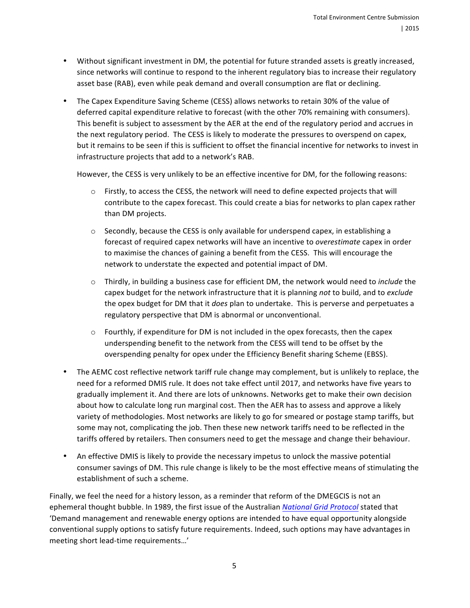- Without significant investment in DM, the potential for future stranded assets is greatly increased, since networks will continue to respond to the inherent regulatory bias to increase their regulatory asset base (RAB), even while peak demand and overall consumption are flat or declining.
- The Capex Expenditure Saving Scheme (CESS) allows networks to retain 30% of the value of deferred capital expenditure relative to forecast (with the other 70% remaining with consumers). This benefit is subject to assessment by the AER at the end of the regulatory period and accrues in the next regulatory period. The CESS is likely to moderate the pressures to overspend on capex, but it remains to be seen if this is sufficient to offset the financial incentive for networks to invest in infrastructure projects that add to a network's RAB.

However, the CESS is very unlikely to be an effective incentive for DM, for the following reasons:

- $\circ$  Firstly, to access the CESS, the network will need to define expected projects that will contribute to the capex forecast. This could create a bias for networks to plan capex rather than DM projects.
- $\circ$  Secondly, because the CESS is only available for underspend capex, in establishing a forecast of required capex networks will have an incentive to *overestimate* capex in order to maximise the chances of gaining a benefit from the CESS. This will encourage the network to understate the expected and potential impact of DM.
- $\circ$  Thirdly, in building a business case for efficient DM, the network would need to *include* the capex budget for the network infrastructure that it is planning *not* to build, and to *exclude* the opex budget for DM that it *does* plan to undertake. This is perverse and perpetuates a regulatory perspective that DM is abnormal or unconventional.
- $\circ$  Fourthly, if expenditure for DM is not included in the opex forecasts, then the capex underspending benefit to the network from the CESS will tend to be offset by the overspending penalty for opex under the Efficiency Benefit sharing Scheme (EBSS).
- The AEMC cost reflective network tariff rule change may complement, but is unlikely to replace, the need for a reformed DMIS rule. It does not take effect until 2017, and networks have five years to gradually implement it. And there are lots of unknowns. Networks get to make their own decision about how to calculate long run marginal cost. Then the AER has to assess and approve a likely variety of methodologies. Most networks are likely to go for smeared or postage stamp tariffs, but some may not, complicating the job. Then these new network tariffs need to be reflected in the tariffs offered by retailers. Then consumers need to get the message and change their behaviour.
- An effective DMIS is likely to provide the necessary impetus to unlock the massive potential consumer savings of DM. This rule change is likely to be the most effective means of stimulating the establishment of such a scheme.

Finally, we feel the need for a history lesson, as a reminder that reform of the DMEGCIS is not an ephemeral thought bubble. In 1989, the first issue of the Australian *National Grid Protocol* stated that 'Demand management and renewable energy options are intended to have equal opportunity alongside conventional supply options to satisfy future requirements. Indeed, such options may have advantages in meeting short lead-time requirements...'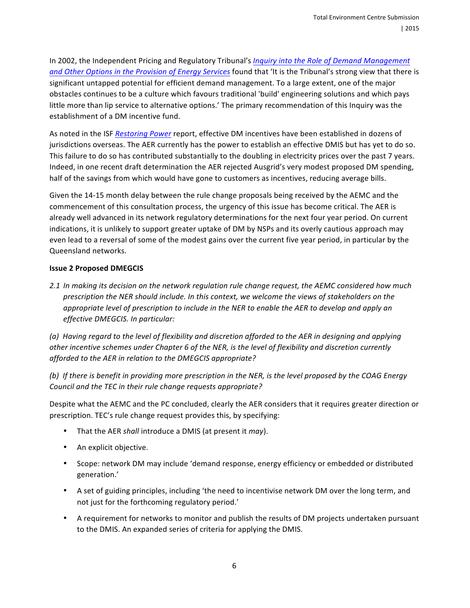In 2002, the Independent Pricing and Regulatory Tribunal's *Inquiry into the Role of Demand Management* and Other Options in the Provision of Energy Services found that 'It is the Tribunal's strong view that there is significant untapped potential for efficient demand management. To a large extent, one of the major obstacles continues to be a culture which favours traditional 'build' engineering solutions and which pays little more than lip service to alternative options.' The primary recommendation of this Inquiry was the establishment of a DM incentive fund.

As noted in the ISF Restoring Power report, effective DM incentives have been established in dozens of jurisdictions overseas. The AER currently has the power to establish an effective DMIS but has yet to do so. This failure to do so has contributed substantially to the doubling in electricity prices over the past 7 years. Indeed, in one recent draft determination the AER rejected Ausgrid's very modest proposed DM spending, half of the savings from which would have gone to customers as incentives, reducing average bills.

Given the 14-15 month delay between the rule change proposals being received by the AEMC and the commencement of this consultation process, the urgency of this issue has become critical. The AER is already well advanced in its network regulatory determinations for the next four year period. On current indications, it is unlikely to support greater uptake of DM by NSPs and its overly cautious approach may even lead to a reversal of some of the modest gains over the current five year period, in particular by the Queensland networks.

#### **Issue 2 Proposed DMEGCIS**

*2.1* In making its decision on the network regulation rule change request, the AEMC considered how much prescription the NER should include. In this context, we welcome the views of stakeholders on the *appropriate level of prescription to include in the NER to enable the AER to develop and apply an effective DMEGCIS. In particular:* 

*(a)* Having regard to the level of flexibility and discretion afforded to the AER in designing and applying other incentive schemes under Chapter 6 of the NER, is the level of flexibility and discretion currently *afforded to the AER in relation to the DMEGCIS appropriate?* 

*(b)* If there is benefit in providing more prescription in the NER, is the level proposed by the COAG Energy Council and the TEC in their rule change requests appropriate?

Despite what the AEMC and the PC concluded, clearly the AER considers that it requires greater direction or prescription. TEC's rule change request provides this, by specifying:

- That the AER *shall* introduce a DMIS (at present it *may*).
- An explicit objective.
- Scope: network DM may include 'demand response, energy efficiency or embedded or distributed generation.'
- A set of guiding principles, including 'the need to incentivise network DM over the long term, and not just for the forthcoming regulatory period.'
- A requirement for networks to monitor and publish the results of DM projects undertaken pursuant to the DMIS. An expanded series of criteria for applying the DMIS.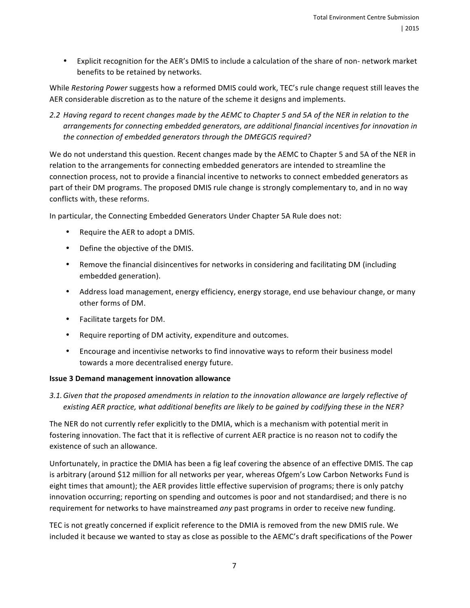• Explicit recognition for the AER's DMIS to include a calculation of the share of non- network market benefits to be retained by networks.

While *Restoring Power* suggests how a reformed DMIS could work, TEC's rule change request still leaves the AER considerable discretion as to the nature of the scheme it designs and implements.

2.2 Having regard to recent changes made by the AEMC to Chapter 5 and 5A of the NER in relation to the arrangements for connecting embedded generators, are additional financial incentives for innovation in the connection of embedded generators through the DMEGCIS required?

We do not understand this question. Recent changes made by the AEMC to Chapter 5 and 5A of the NER in relation to the arrangements for connecting embedded generators are intended to streamline the connection process, not to provide a financial incentive to networks to connect embedded generators as part of their DM programs. The proposed DMIS rule change is strongly complementary to, and in no way conflicts with, these reforms.

In particular, the Connecting Embedded Generators Under Chapter 5A Rule does not:

- Require the AER to adopt a DMIS.
- Define the objective of the DMIS.
- Remove the financial disincentives for networks in considering and facilitating DM (including embedded generation).
- Address load management, energy efficiency, energy storage, end use behaviour change, or many other forms of DM.
- Facilitate targets for DM.
- Require reporting of DM activity, expenditure and outcomes.
- Encourage and incentivise networks to find innovative ways to reform their business model towards a more decentralised energy future.

### **Issue 3 Demand management innovation allowance**

3.1. Given that the proposed amendments in relation to the innovation allowance are largely reflective of existing AER practice, what additional benefits are likely to be gained by codifying these in the NER?

The NER do not currently refer explicitly to the DMIA, which is a mechanism with potential merit in fostering innovation. The fact that it is reflective of current AER practice is no reason not to codify the existence of such an allowance.

Unfortunately, in practice the DMIA has been a fig leaf covering the absence of an effective DMIS. The cap is arbitrary (around \$12 million for all networks per year, whereas Ofgem's Low Carbon Networks Fund is eight times that amount); the AER provides little effective supervision of programs; there is only patchy innovation occurring; reporting on spending and outcomes is poor and not standardised; and there is no requirement for networks to have mainstreamed *any* past programs in order to receive new funding.

TEC is not greatly concerned if explicit reference to the DMIA is removed from the new DMIS rule. We included it because we wanted to stay as close as possible to the AEMC's draft specifications of the Power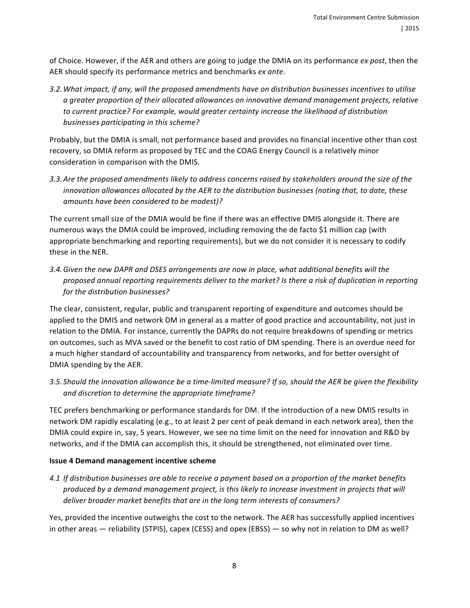of Choice. However, if the AER and others are going to judge the DMIA on its performance *ex post*, then the AER should specify its performance metrics and benchmarks *ex ante*.

3.2. What impact, if any, will the proposed amendments have on distribution businesses incentives to utilise *a greater proportion of their allocated allowances on innovative demand management projects, relative*  to current practice? For example, would greater certainty increase the likelihood of distribution businesses participating in this scheme?

Probably, but the DMIA is small, not performance based and provides no financial incentive other than cost recovery, so DMIA reform as proposed by TEC and the COAG Energy Council is a relatively minor consideration in comparison with the DMIS.

3.3. Are the proposed amendments likely to address concerns raised by stakeholders around the size of the *innovation allowances allocated by the AER to the distribution businesses (noting that, to date, these* amounts have been considered to be modest)?

The current small size of the DMIA would be fine if there was an effective DMIS alongside it. There are numerous ways the DMIA could be improved, including removing the de facto \$1 million cap (with appropriate benchmarking and reporting requirements), but we do not consider it is necessary to codify these in the NER.

3.4. Given the new DAPR and DSES arrangements are now in place, what additional benefits will the proposed annual reporting requirements deliver to the market? Is there a risk of duplication in reporting for the distribution businesses?

The clear, consistent, regular, public and transparent reporting of expenditure and outcomes should be applied to the DMIS and network DM in general as a matter of good practice and accountability, not just in relation to the DMIA. For instance, currently the DAPRs do not require breakdowns of spending or metrics on outcomes, such as MVA saved or the benefit to cost ratio of DM spending. There is an overdue need for a much higher standard of accountability and transparency from networks, and for better oversight of DMIA spending by the AER.

3.5. Should the innovation allowance be a time-limited measure? If so, should the AER be given the flexibility and discretion to determine the appropriate timeframe?

TEC prefers benchmarking or performance standards for DM. If the introduction of a new DMIS results in network DM rapidly escalating (e.g., to at least 2 per cent of peak demand in each network area), then the DMIA could expire in, say, 5 years. However, we see no time limit on the need for innovation and R&D by networks, and if the DMIA can accomplish this, it should be strengthened, not eliminated over time.

### **Issue 4 Demand management incentive scheme**

*4.1* If distribution businesses are able to receive a payment based on a proportion of the market benefits produced by a demand management project, is this likely to increase investment in projects that will *deliver broader market benefits that are in the long term interests of consumers?* 

Yes, provided the incentive outweighs the cost to the network. The AER has successfully applied incentives in other areas  $-$  reliability (STPIS), capex (CESS) and opex (EBSS)  $-$  so why not in relation to DM as well?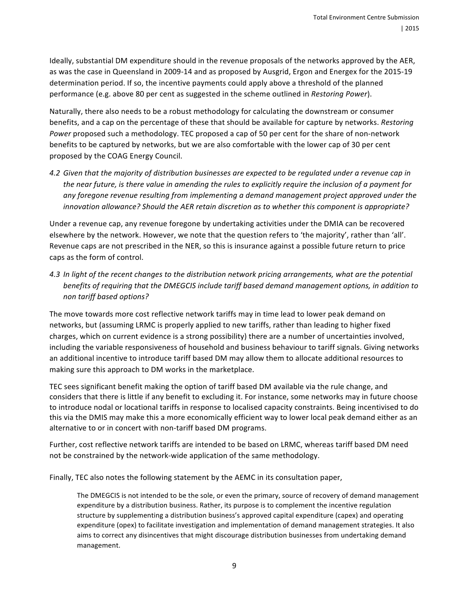Ideally, substantial DM expenditure should in the revenue proposals of the networks approved by the AER, as was the case in Queensland in 2009-14 and as proposed by Ausgrid, Ergon and Energex for the 2015-19 determination period. If so, the incentive payments could apply above a threshold of the planned performance (e.g. above 80 per cent as suggested in the scheme outlined in *Restoring Power*).

Naturally, there also needs to be a robust methodology for calculating the downstream or consumer benefits, and a cap on the percentage of these that should be available for capture by networks. *Restoring Power* proposed such a methodology. TEC proposed a cap of 50 per cent for the share of non-network benefits to be captured by networks, but we are also comfortable with the lower cap of 30 per cent proposed by the COAG Energy Council.

4.2 Given that the majority of distribution businesses are expected to be regulated under a revenue cap in *the near future, is there value in amending the rules to explicitly require the inclusion of a payment for* any foregone revenue resulting from *implementing* a demand management project approved under the *innovation allowance?* Should the AER retain discretion as to whether this component is appropriate?

Under a revenue cap, any revenue foregone by undertaking activities under the DMIA can be recovered elsewhere by the network. However, we note that the question refers to 'the majority', rather than 'all'. Revenue caps are not prescribed in the NER, so this is insurance against a possible future return to price caps as the form of control.

4.3 In light of the recent changes to the distribution network pricing arrangements, what are the potential *benefits* of requiring that the DMEGCIS include tariff based demand management options, in addition to *non tariff based options?*

The move towards more cost reflective network tariffs may in time lead to lower peak demand on networks, but (assuming LRMC is properly applied to new tariffs, rather than leading to higher fixed charges, which on current evidence is a strong possibility) there are a number of uncertainties involved, including the variable responsiveness of household and business behaviour to tariff signals. Giving networks an additional incentive to introduce tariff based DM may allow them to allocate additional resources to making sure this approach to DM works in the marketplace.

TEC sees significant benefit making the option of tariff based DM available via the rule change, and considers that there is little if any benefit to excluding it. For instance, some networks may in future choose to introduce nodal or locational tariffs in response to localised capacity constraints. Being incentivised to do this via the DMIS may make this a more economically efficient way to lower local peak demand either as an alternative to or in concert with non-tariff based DM programs.

Further, cost reflective network tariffs are intended to be based on LRMC, whereas tariff based DM need not be constrained by the network-wide application of the same methodology.

Finally, TEC also notes the following statement by the AEMC in its consultation paper,

The DMEGCIS is not intended to be the sole, or even the primary, source of recovery of demand management expenditure by a distribution business. Rather, its purpose is to complement the incentive regulation structure by supplementing a distribution business's approved capital expenditure (capex) and operating expenditure (opex) to facilitate investigation and implementation of demand management strategies. It also aims to correct any disincentives that might discourage distribution businesses from undertaking demand management.